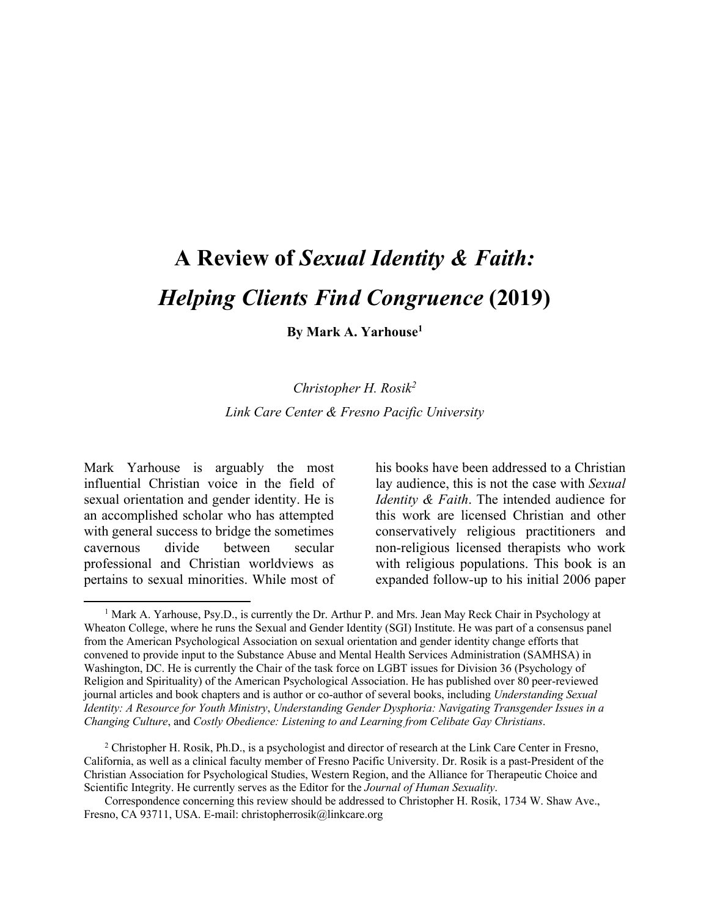# **A Review of** *Sexual Identity & Faith: Helping Clients Find Congruence* **(2019)**

**By Mark A. Yarhouse1**

#### *Christopher H. Rosik2*

*Link Care Center & Fresno Pacific University*

Mark Yarhouse is arguably the most influential Christian voice in the field of sexual orientation and gender identity. He is an accomplished scholar who has attempted with general success to bridge the sometimes cavernous divide between secular professional and Christian worldviews as pertains to sexual minorities. While most of

 $\overline{\phantom{a}}$ 

his books have been addressed to a Christian lay audience, this is not the case with *Sexual Identity & Faith*. The intended audience for this work are licensed Christian and other conservatively religious practitioners and non-religious licensed therapists who work with religious populations. This book is an expanded follow-up to his initial 2006 paper

<sup>2</sup> Christopher H. Rosik, Ph.D., is a psychologist and director of research at the Link Care Center in Fresno, California, as well as a clinical faculty member of Fresno Pacific University. Dr. Rosik is a past-President of the Christian Association for Psychological Studies, Western Region, and the Alliance for Therapeutic Choice and Scientific Integrity. He currently serves as the Editor for the *Journal of Human Sexuality*.

Correspondence concerning this review should be addressed to Christopher H. Rosik, 1734 W. Shaw Ave., Fresno, CA 93711, USA. E-mail: christopherrosik@linkcare.org

<sup>&</sup>lt;sup>1</sup> Mark A. Yarhouse, Psy.D., is currently the Dr. Arthur P. and Mrs. Jean May Reck Chair in Psychology at Wheaton College, where he runs the Sexual and Gender Identity (SGI) Institute. He was part of a consensus panel from the American Psychological Association on sexual orientation and gender identity change efforts that convened to provide input to the Substance Abuse and Mental Health Services Administration (SAMHSA) in Washington, DC. He is currently the Chair of the task force on LGBT issues for Division 36 (Psychology of Religion and Spirituality) of the American Psychological Association. He has published over 80 peer-reviewed journal articles and book chapters and is author or co-author of several books, including *Understanding Sexual Identity: A Resource for Youth Ministry*, *Understanding Gender Dysphoria: Navigating Transgender Issues in a Changing Culture*, and *Costly Obedience: Listening to and Learning from Celibate Gay Christians*.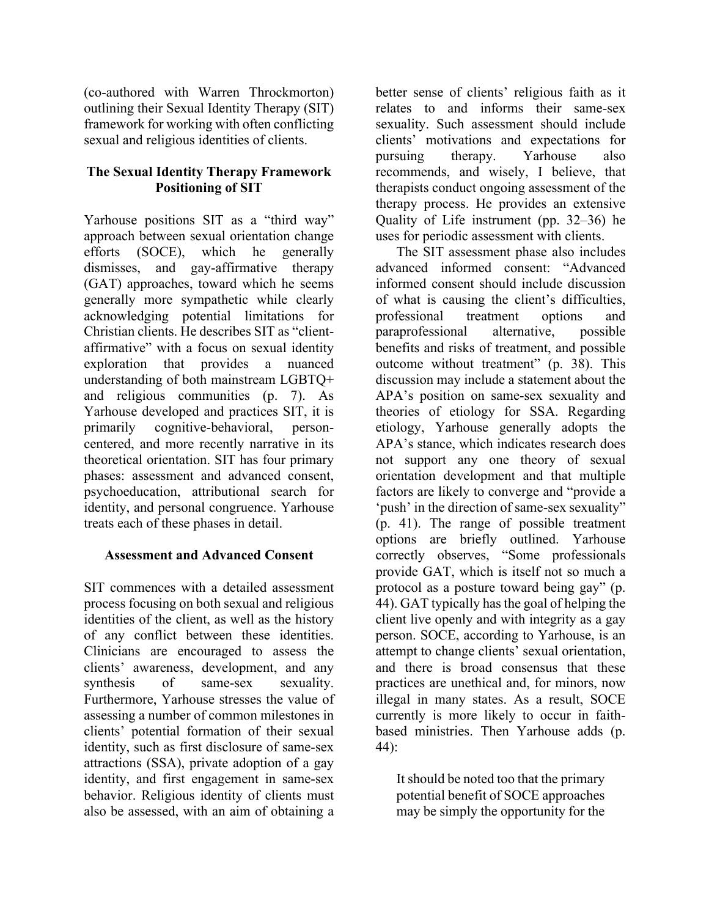(co-authored with Warren Throckmorton) outlining their Sexual Identity Therapy (SIT) framework for working with often conflicting sexual and religious identities of clients.

## **The Sexual Identity Therapy Framework Positioning of SIT**

Yarhouse positions SIT as a "third way" approach between sexual orientation change efforts (SOCE), which he generally dismisses, and gay-affirmative therapy (GAT) approaches, toward which he seems generally more sympathetic while clearly acknowledging potential limitations for Christian clients. He describes SIT as "clientaffirmative" with a focus on sexual identity exploration that provides a nuanced understanding of both mainstream LGBTQ+ and religious communities (p. 7). As Yarhouse developed and practices SIT, it is primarily cognitive-behavioral, personcentered, and more recently narrative in its theoretical orientation. SIT has four primary phases: assessment and advanced consent, psychoeducation, attributional search for identity, and personal congruence. Yarhouse treats each of these phases in detail.

## **Assessment and Advanced Consent**

SIT commences with a detailed assessment process focusing on both sexual and religious identities of the client, as well as the history of any conflict between these identities. Clinicians are encouraged to assess the clients' awareness, development, and any synthesis of same-sex sexuality. Furthermore, Yarhouse stresses the value of assessing a number of common milestones in clients' potential formation of their sexual identity, such as first disclosure of same-sex attractions (SSA), private adoption of a gay identity, and first engagement in same-sex behavior. Religious identity of clients must also be assessed, with an aim of obtaining a

better sense of clients' religious faith as it relates to and informs their same-sex sexuality. Such assessment should include clients' motivations and expectations for pursuing therapy. Yarhouse also recommends, and wisely, I believe, that therapists conduct ongoing assessment of the therapy process. He provides an extensive Quality of Life instrument (pp. 32–36) he uses for periodic assessment with clients.

The SIT assessment phase also includes advanced informed consent: "Advanced informed consent should include discussion of what is causing the client's difficulties, professional treatment options and paraprofessional alternative, possible benefits and risks of treatment, and possible outcome without treatment" (p. 38). This discussion may include a statement about the APA's position on same-sex sexuality and theories of etiology for SSA. Regarding etiology, Yarhouse generally adopts the APA's stance, which indicates research does not support any one theory of sexual orientation development and that multiple factors are likely to converge and "provide a 'push' in the direction of same-sex sexuality" (p. 41). The range of possible treatment options are briefly outlined. Yarhouse correctly observes, "Some professionals provide GAT, which is itself not so much a protocol as a posture toward being gay" (p. 44). GAT typically has the goal of helping the client live openly and with integrity as a gay person. SOCE, according to Yarhouse, is an attempt to change clients' sexual orientation, and there is broad consensus that these practices are unethical and, for minors, now illegal in many states. As a result, SOCE currently is more likely to occur in faithbased ministries. Then Yarhouse adds (p. 44):

It should be noted too that the primary potential benefit of SOCE approaches may be simply the opportunity for the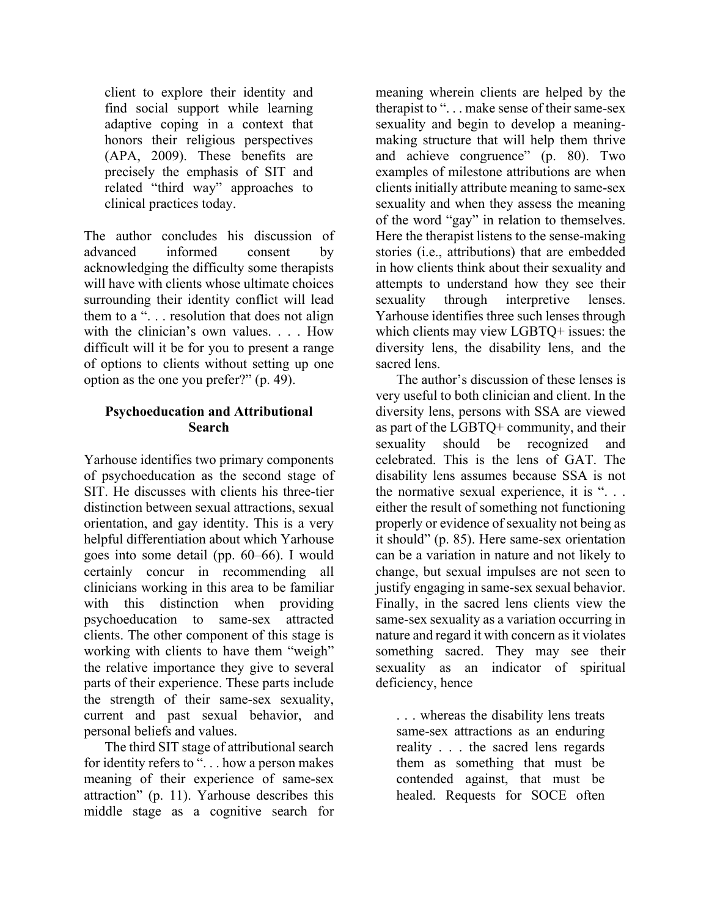client to explore their identity and find social support while learning adaptive coping in a context that honors their religious perspectives (APA, 2009). These benefits are precisely the emphasis of SIT and related "third way" approaches to clinical practices today.

The author concludes his discussion of advanced informed consent by acknowledging the difficulty some therapists will have with clients whose ultimate choices surrounding their identity conflict will lead them to a ". . . resolution that does not align with the clinician's own values. . . . How difficult will it be for you to present a range of options to clients without setting up one option as the one you prefer?" (p. 49).

## **Psychoeducation and Attributional Search**

Yarhouse identifies two primary components of psychoeducation as the second stage of SIT. He discusses with clients his three-tier distinction between sexual attractions, sexual orientation, and gay identity. This is a very helpful differentiation about which Yarhouse goes into some detail (pp. 60–66). I would certainly concur in recommending all clinicians working in this area to be familiar with this distinction when providing psychoeducation to same-sex attracted clients. The other component of this stage is working with clients to have them "weigh" the relative importance they give to several parts of their experience. These parts include the strength of their same-sex sexuality, current and past sexual behavior, and personal beliefs and values.

The third SIT stage of attributional search for identity refers to "... how a person makes meaning of their experience of same-sex attraction" (p. 11). Yarhouse describes this middle stage as a cognitive search for

meaning wherein clients are helped by the therapist to "... make sense of their same-sex sexuality and begin to develop a meaningmaking structure that will help them thrive and achieve congruence" (p. 80). Two examples of milestone attributions are when clients initially attribute meaning to same-sex sexuality and when they assess the meaning of the word "gay" in relation to themselves. Here the therapist listens to the sense-making stories (i.e., attributions) that are embedded in how clients think about their sexuality and attempts to understand how they see their sexuality through interpretive lenses. Yarhouse identifies three such lenses through which clients may view LGBTQ+ issues: the diversity lens, the disability lens, and the sacred lens.

The author's discussion of these lenses is very useful to both clinician and client. In the diversity lens, persons with SSA are viewed as part of the LGBTQ+ community, and their sexuality should be recognized and celebrated. This is the lens of GAT. The disability lens assumes because SSA is not the normative sexual experience, it is "... either the result of something not functioning properly or evidence of sexuality not being as it should" (p. 85). Here same-sex orientation can be a variation in nature and not likely to change, but sexual impulses are not seen to justify engaging in same-sex sexual behavior. Finally, in the sacred lens clients view the same-sex sexuality as a variation occurring in nature and regard it with concern as it violates something sacred. They may see their sexuality as an indicator of spiritual deficiency, hence

. . . whereas the disability lens treats same-sex attractions as an enduring reality . . . the sacred lens regards them as something that must be contended against, that must be healed. Requests for SOCE often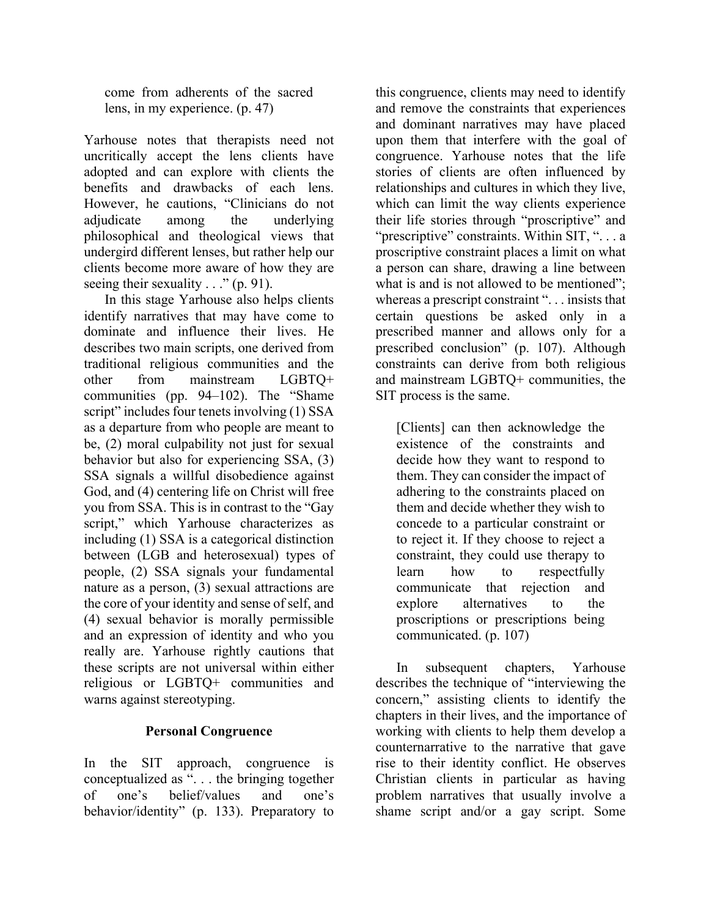come from adherents of the sacred lens, in my experience. (p. 47)

Yarhouse notes that therapists need not uncritically accept the lens clients have adopted and can explore with clients the benefits and drawbacks of each lens. However, he cautions, "Clinicians do not adjudicate among the underlying philosophical and theological views that undergird different lenses, but rather help our clients become more aware of how they are seeing their sexuality  $\ldots$ " (p. 91).

In this stage Yarhouse also helps clients identify narratives that may have come to dominate and influence their lives. He describes two main scripts, one derived from traditional religious communities and the other from mainstream LGBTQ+ communities (pp. 94–102). The "Shame script" includes four tenets involving (1) SSA as a departure from who people are meant to be, (2) moral culpability not just for sexual behavior but also for experiencing SSA, (3) SSA signals a willful disobedience against God, and (4) centering life on Christ will free you from SSA. This is in contrast to the "Gay script," which Yarhouse characterizes as including (1) SSA is a categorical distinction between (LGB and heterosexual) types of people, (2) SSA signals your fundamental nature as a person, (3) sexual attractions are the core of your identity and sense of self, and (4) sexual behavior is morally permissible and an expression of identity and who you really are. Yarhouse rightly cautions that these scripts are not universal within either religious or LGBTQ+ communities and warns against stereotyping.

## **Personal Congruence**

In the SIT approach, congruence is conceptualized as ". . . the bringing together of one's belief/values and one's behavior/identity" (p. 133). Preparatory to

this congruence, clients may need to identify and remove the constraints that experiences and dominant narratives may have placed upon them that interfere with the goal of congruence. Yarhouse notes that the life stories of clients are often influenced by relationships and cultures in which they live, which can limit the way clients experience their life stories through "proscriptive" and "prescriptive" constraints. Within SIT, "... a proscriptive constraint places a limit on what a person can share, drawing a line between what is and is not allowed to be mentioned"; whereas a prescript constraint ". . . insists that certain questions be asked only in a prescribed manner and allows only for a prescribed conclusion" (p. 107). Although constraints can derive from both religious and mainstream LGBTQ+ communities, the SIT process is the same.

[Clients] can then acknowledge the existence of the constraints and decide how they want to respond to them. They can consider the impact of adhering to the constraints placed on them and decide whether they wish to concede to a particular constraint or to reject it. If they choose to reject a constraint, they could use therapy to learn how to respectfully communicate that rejection and explore alternatives to the proscriptions or prescriptions being communicated. (p. 107)

In subsequent chapters, Yarhouse describes the technique of "interviewing the concern," assisting clients to identify the chapters in their lives, and the importance of working with clients to help them develop a counternarrative to the narrative that gave rise to their identity conflict. He observes Christian clients in particular as having problem narratives that usually involve a shame script and/or a gay script. Some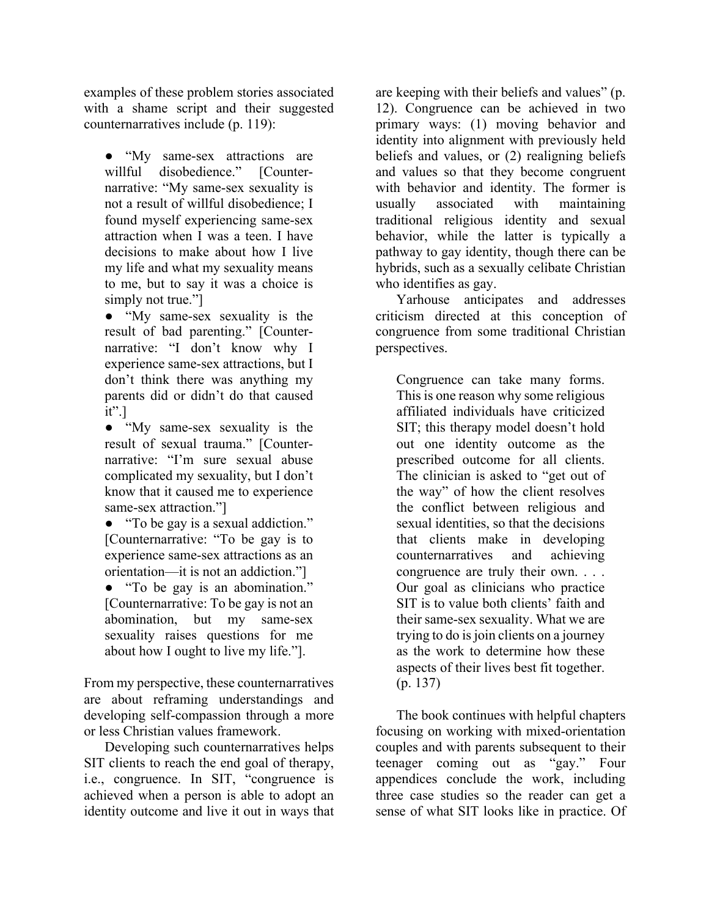examples of these problem stories associated with a shame script and their suggested counternarratives include (p. 119):

• "My same-sex attractions are willful disobedience." [Counternarrative: "My same-sex sexuality is not a result of willful disobedience; I found myself experiencing same-sex attraction when I was a teen. I have decisions to make about how I live my life and what my sexuality means to me, but to say it was a choice is simply not true."

● "My same-sex sexuality is the result of bad parenting." [Counternarrative: "I don't know why I experience same-sex attractions, but I don't think there was anything my parents did or didn't do that caused  $it$ ".]

● "My same-sex sexuality is the result of sexual trauma." [Counternarrative: "I'm sure sexual abuse complicated my sexuality, but I don't know that it caused me to experience same-sex attraction."]

• "To be gay is a sexual addiction." [Counternarrative: "To be gay is to experience same-sex attractions as an orientation—it is not an addiction."]

● "To be gay is an abomination." [Counternarrative: To be gay is not an abomination, but my same-sex sexuality raises questions for me about how I ought to live my life."].

From my perspective, these counternarratives are about reframing understandings and developing self-compassion through a more or less Christian values framework.

Developing such counternarratives helps SIT clients to reach the end goal of therapy, i.e., congruence. In SIT, "congruence is achieved when a person is able to adopt an identity outcome and live it out in ways that are keeping with their beliefs and values" (p. 12). Congruence can be achieved in two primary ways: (1) moving behavior and identity into alignment with previously held beliefs and values, or (2) realigning beliefs and values so that they become congruent with behavior and identity. The former is usually associated with maintaining traditional religious identity and sexual behavior, while the latter is typically a pathway to gay identity, though there can be hybrids, such as a sexually celibate Christian who identifies as gay.

Yarhouse anticipates and addresses criticism directed at this conception of congruence from some traditional Christian perspectives.

Congruence can take many forms. This is one reason why some religious affiliated individuals have criticized SIT; this therapy model doesn't hold out one identity outcome as the prescribed outcome for all clients. The clinician is asked to "get out of the way" of how the client resolves the conflict between religious and sexual identities, so that the decisions that clients make in developing counternarratives and achieving congruence are truly their own. . . . Our goal as clinicians who practice SIT is to value both clients' faith and their same-sex sexuality. What we are trying to do is join clients on a journey as the work to determine how these aspects of their lives best fit together. (p. 137)

The book continues with helpful chapters focusing on working with mixed-orientation couples and with parents subsequent to their teenager coming out as "gay." Four appendices conclude the work, including three case studies so the reader can get a sense of what SIT looks like in practice. Of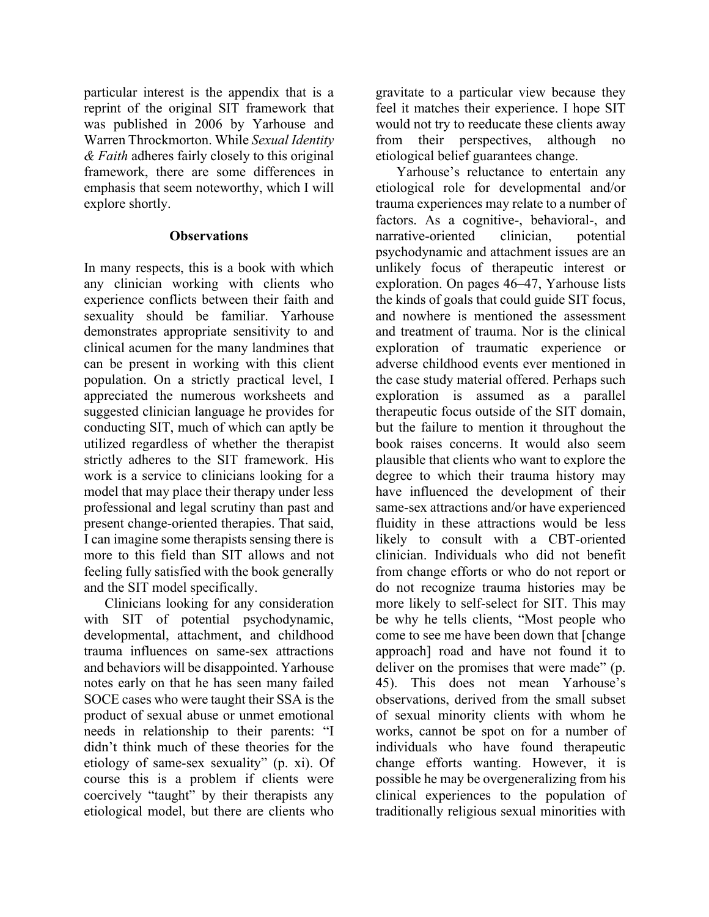particular interest is the appendix that is a reprint of the original SIT framework that was published in 2006 by Yarhouse and Warren Throckmorton. While *Sexual Identity & Faith* adheres fairly closely to this original framework, there are some differences in emphasis that seem noteworthy, which I will explore shortly.

#### **Observations**

In many respects, this is a book with which any clinician working with clients who experience conflicts between their faith and sexuality should be familiar. Yarhouse demonstrates appropriate sensitivity to and clinical acumen for the many landmines that can be present in working with this client population. On a strictly practical level, I appreciated the numerous worksheets and suggested clinician language he provides for conducting SIT, much of which can aptly be utilized regardless of whether the therapist strictly adheres to the SIT framework. His work is a service to clinicians looking for a model that may place their therapy under less professional and legal scrutiny than past and present change-oriented therapies. That said, I can imagine some therapists sensing there is more to this field than SIT allows and not feeling fully satisfied with the book generally and the SIT model specifically.

Clinicians looking for any consideration with SIT of potential psychodynamic, developmental, attachment, and childhood trauma influences on same-sex attractions and behaviors will be disappointed. Yarhouse notes early on that he has seen many failed SOCE cases who were taught their SSA is the product of sexual abuse or unmet emotional needs in relationship to their parents: "I didn't think much of these theories for the etiology of same-sex sexuality" (p. xi). Of course this is a problem if clients were coercively "taught" by their therapists any etiological model, but there are clients who

gravitate to a particular view because they feel it matches their experience. I hope SIT would not try to reeducate these clients away from their perspectives, although no etiological belief guarantees change.

Yarhouse's reluctance to entertain any etiological role for developmental and/or trauma experiences may relate to a number of factors. As a cognitive-, behavioral-, and narrative-oriented clinician, potential psychodynamic and attachment issues are an unlikely focus of therapeutic interest or exploration. On pages 46–47, Yarhouse lists the kinds of goals that could guide SIT focus, and nowhere is mentioned the assessment and treatment of trauma. Nor is the clinical exploration of traumatic experience or adverse childhood events ever mentioned in the case study material offered. Perhaps such exploration is assumed as a parallel therapeutic focus outside of the SIT domain, but the failure to mention it throughout the book raises concerns. It would also seem plausible that clients who want to explore the degree to which their trauma history may have influenced the development of their same-sex attractions and/or have experienced fluidity in these attractions would be less likely to consult with a CBT-oriented clinician. Individuals who did not benefit from change efforts or who do not report or do not recognize trauma histories may be more likely to self-select for SIT. This may be why he tells clients, "Most people who come to see me have been down that [change approach] road and have not found it to deliver on the promises that were made" (p. 45). This does not mean Yarhouse's observations, derived from the small subset of sexual minority clients with whom he works, cannot be spot on for a number of individuals who have found therapeutic change efforts wanting. However, it is possible he may be overgeneralizing from his clinical experiences to the population of traditionally religious sexual minorities with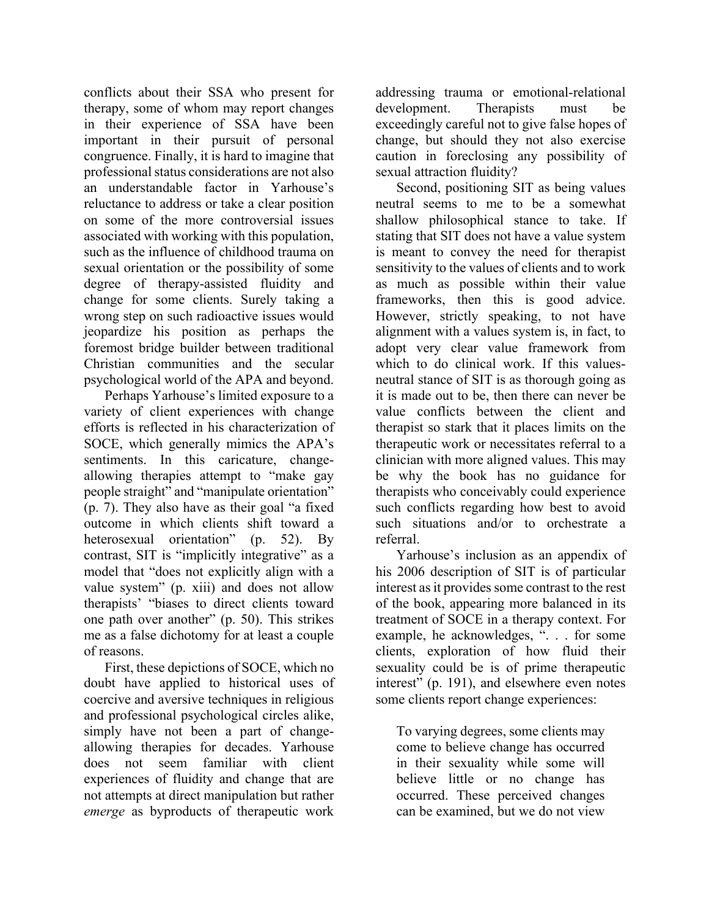conflicts about their SSA who present for therapy, some of whom may report changes in their experience of SSA have been important in their pursuit of personal congruence. Finally, it is hard to imagine that professional status considerations are not also an understandable factor in Yarhouse's reluctance to address or take a clear position on some of the more controversial issues associated with working with this population, such as the influence of childhood trauma on sexual orientation or the possibility of some degree of therapy-assisted fluidity and change for some clients. Surely taking a wrong step on such radioactive issues would jeopardize his position as perhaps the foremost bridge builder between traditional Christian communities and the secular psychological world of the APA and beyond.

Perhaps Yarhouse's limited exposure to a variety of client experiences with change efforts is reflected in his characterization of SOCE, which generally mimics the APA's sentiments. In this caricature, changeallowing therapies attempt to "make gay people straight" and "manipulate orientation" (p. 7). They also have as their goal "a fixed outcome in which clients shift toward a heterosexual orientation" (p. 52). By contrast, SIT is "implicitly integrative" as a model that "does not explicitly align with a value system" (p. xiii) and does not allow therapists' "biases to direct clients toward one path over another" (p. 50). This strikes me as a false dichotomy for at least a couple of reasons.

First, these depictions of SOCE, which no doubt have applied to historical uses of coercive and aversive techniques in religious and professional psychological circles alike, simply have not been a part of changeallowing therapies for decades. Yarhouse does not seem familiar with client experiences of fluidity and change that are not attempts at direct manipulation but rather *emerge* as byproducts of therapeutic work

addressing trauma or emotional-relational development. Therapists must be exceedingly careful not to give false hopes of change, but should they not also exercise caution in foreclosing any possibility of sexual attraction fluidity?

Second, positioning SIT as being values neutral seems to me to be a somewhat shallow philosophical stance to take. If stating that SIT does not have a value system is meant to convey the need for therapist sensitivity to the values of clients and to work as much as possible within their value frameworks, then this is good advice. However, strictly speaking, to not have alignment with a values system is, in fact, to adopt very clear value framework from which to do clinical work. If this valuesneutral stance of SIT is as thorough going as it is made out to be, then there can never be value conflicts between the client and therapist so stark that it places limits on the therapeutic work or necessitates referral to a clinician with more aligned values. This may be why the book has no guidance for therapists who conceivably could experience such conflicts regarding how best to avoid such situations and/or to orchestrate a referral.

Yarhouse's inclusion as an appendix of his 2006 description of SIT is of particular interest as it provides some contrast to the rest of the book, appearing more balanced in its treatment of SOCE in a therapy context. For example, he acknowledges, ". . . for some clients, exploration of how fluid their sexuality could be is of prime therapeutic interest" (p. 191), and elsewhere even notes some clients report change experiences:

To varying degrees, some clients may come to believe change has occurred in their sexuality while some will believe little or no change has occurred. These perceived changes can be examined, but we do not view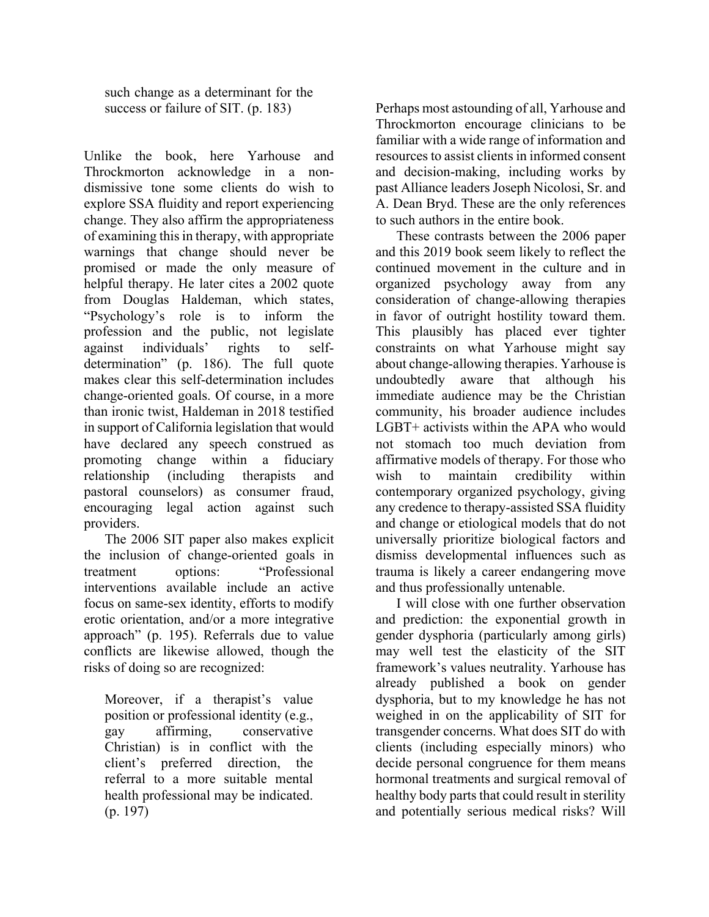such change as a determinant for the success or failure of SIT. (p. 183)

Unlike the book, here Yarhouse and Throckmorton acknowledge in a nondismissive tone some clients do wish to explore SSA fluidity and report experiencing change. They also affirm the appropriateness of examining this in therapy, with appropriate warnings that change should never be promised or made the only measure of helpful therapy. He later cites a 2002 quote from Douglas Haldeman, which states, "Psychology's role is to inform the profession and the public, not legislate against individuals' rights to selfdetermination" (p. 186). The full quote makes clear this self-determination includes change-oriented goals. Of course, in a more than ironic twist, Haldeman in 2018 testified in support of California legislation that would have declared any speech construed as promoting change within a fiduciary relationship (including therapists and pastoral counselors) as consumer fraud, encouraging legal action against such providers.

The 2006 SIT paper also makes explicit the inclusion of change-oriented goals in treatment options: "Professional interventions available include an active focus on same-sex identity, efforts to modify erotic orientation, and/or a more integrative approach" (p. 195). Referrals due to value conflicts are likewise allowed, though the risks of doing so are recognized:

Moreover, if a therapist's value position or professional identity (e.g., gay affirming, conservative Christian) is in conflict with the client's preferred direction, the referral to a more suitable mental health professional may be indicated. (p. 197)

Perhaps most astounding of all, Yarhouse and Throckmorton encourage clinicians to be familiar with a wide range of information and resources to assist clients in informed consent and decision-making, including works by past Alliance leaders Joseph Nicolosi, Sr. and A. Dean Bryd. These are the only references to such authors in the entire book.

These contrasts between the 2006 paper and this 2019 book seem likely to reflect the continued movement in the culture and in organized psychology away from any consideration of change-allowing therapies in favor of outright hostility toward them. This plausibly has placed ever tighter constraints on what Yarhouse might say about change-allowing therapies. Yarhouse is undoubtedly aware that although his immediate audience may be the Christian community, his broader audience includes LGBT+ activists within the APA who would not stomach too much deviation from affirmative models of therapy. For those who wish to maintain credibility within contemporary organized psychology, giving any credence to therapy-assisted SSA fluidity and change or etiological models that do not universally prioritize biological factors and dismiss developmental influences such as trauma is likely a career endangering move and thus professionally untenable.

I will close with one further observation and prediction: the exponential growth in gender dysphoria (particularly among girls) may well test the elasticity of the SIT framework's values neutrality. Yarhouse has already published a book on gender dysphoria, but to my knowledge he has not weighed in on the applicability of SIT for transgender concerns. What does SIT do with clients (including especially minors) who decide personal congruence for them means hormonal treatments and surgical removal of healthy body parts that could result in sterility and potentially serious medical risks? Will